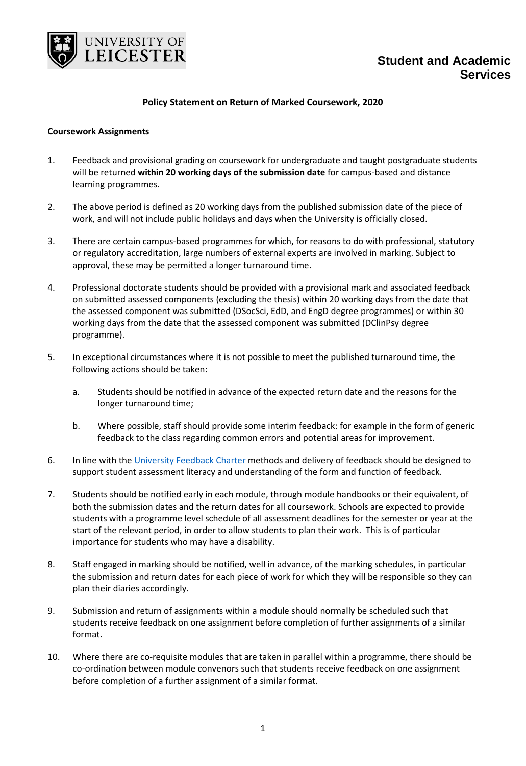

# **Policy Statement on Return of Marked Coursework, 2020**

### **Coursework Assignments**

- 1. Feedback and provisional grading on coursework for undergraduate and taught postgraduate students will be returned **within 20 working days of the submission date** for campus-based and distance learning programmes.
- 2. The above period is defined as 20 working days from the published submission date of the piece of work, and will not include public holidays and days when the University is officially closed.
- 3. There are certain campus-based programmes for which, for reasons to do with professional, statutory or regulatory accreditation, large numbers of external experts are involved in marking. Subject to approval, these may be permitted a longer turnaround time.
- 4. Professional doctorate students should be provided with a provisional mark and associated feedback on submitted assessed components (excluding the thesis) within 20 working days from the date that the assessed component was submitted (DSocSci, EdD, and EngD degree programmes) or within 30 working days from the date that the assessed component was submitted (DClinPsy degree programme).
- 5. In exceptional circumstances where it is not possible to meet the published turnaround time, the following actions should be taken:
	- a. Students should be notified in advance of the expected return date and the reasons for the longer turnaround time;
	- b. Where possible, staff should provide some interim feedback: for example in the form of generic feedback to the class regarding common errors and potential areas for improvement.
- 6. In line with the [University Feedback Charter](https://www.leicesterunion.com/pageassets/support/adviceservice/academic/feedback-charter/Feedback-Charter.pdf) methods and delivery of feedback should be designed to support student assessment literacy and understanding of the form and function of feedback.
- 7. Students should be notified early in each module, through module handbooks or their equivalent, of both the submission dates and the return dates for all coursework. Schools are expected to provide students with a programme level schedule of all assessment deadlines for the semester or year at the start of the relevant period, in order to allow students to plan their work. This is of particular importance for students who may have a disability.
- 8. Staff engaged in marking should be notified, well in advance, of the marking schedules, in particular the submission and return dates for each piece of work for which they will be responsible so they can plan their diaries accordingly.
- 9. Submission and return of assignments within a module should normally be scheduled such that students receive feedback on one assignment before completion of further assignments of a similar format.
- 10. Where there are co-requisite modules that are taken in parallel within a programme, there should be co-ordination between module convenors such that students receive feedback on one assignment before completion of a further assignment of a similar format.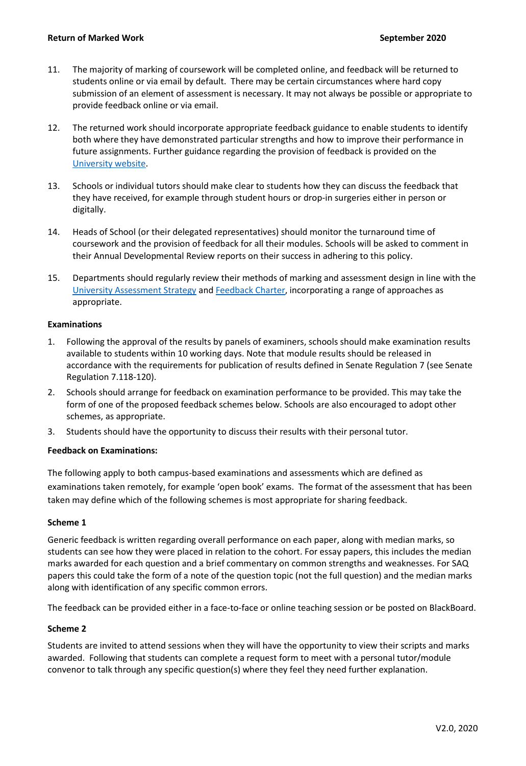- 11. The majority of marking of coursework will be completed online, and feedback will be returned to students online or via email by default. There may be certain circumstances where hard copy submission of an element of assessment is necessary. It may not always be possible or appropriate to provide feedback online or via email.
- 12. The returned work should incorporate appropriate feedback guidance to enable students to identify both where they have demonstrated particular strengths and how to improve their performance in future assignments. Further guidance regarding the provision of feedback is provided on the [University website.](https://www2.le.ac.uk/offices/lli/developing-learning-and-teaching/assessment-and-feedback/giving-feedback-to-students-on-assessed-work)
- 13. Schools or individual tutors should make clear to students how they can discuss the feedback that they have received, for example through student hours or drop-in surgeries either in person or digitally.
- 14. Heads of School (or their delegated representatives) should monitor the turnaround time of coursework and the provision of feedback for all their modules. Schools will be asked to comment in their Annual Developmental Review reports on their success in adhering to this policy.
- 15. Departments should regularly review their methods of marking and assessment design in line with the [University Assessment Strategy](https://www2.le.ac.uk/offices/lli/developing-learning-and-teaching/assessment-and-feedback/support-for-assessment-strategy) and [Feedback Charter,](https://www.leicesterunion.com/pageassets/support/adviceservice/academic/feedback-charter/Feedback-Charter.pdf) incorporating a range of approaches as appropriate.

### **Examinations**

- 1. Following the approval of the results by panels of examiners, schools should make examination results available to students within 10 working days. Note that module results should be released in accordance with the requirements for publication of results defined in Senate Regulation 7 (see Senate Regulation 7.118-120).
- 2. Schools should arrange for feedback on examination performance to be provided. This may take the form of one of the proposed feedback schemes below. Schools are also encouraged to adopt other schemes, as appropriate.
- 3. Students should have the opportunity to discuss their results with their personal tutor.

# **Feedback on Examinations:**

The following apply to both campus-based examinations and assessments which are defined as examinations taken remotely, for example 'open book' exams. The format of the assessment that has been taken may define which of the following schemes is most appropriate for sharing feedback.

#### **Scheme 1**

Generic feedback is written regarding overall performance on each paper, along with median marks, so students can see how they were placed in relation to the cohort. For essay papers, this includes the median marks awarded for each question and a brief commentary on common strengths and weaknesses. For SAQ papers this could take the form of a note of the question topic (not the full question) and the median marks along with identification of any specific common errors.

The feedback can be provided either in a face-to-face or online teaching session or be posted on BlackBoard.

# **Scheme 2**

Students are invited to attend sessions when they will have the opportunity to view their scripts and marks awarded. Following that students can complete a request form to meet with a personal tutor/module convenor to talk through any specific question(s) where they feel they need further explanation.